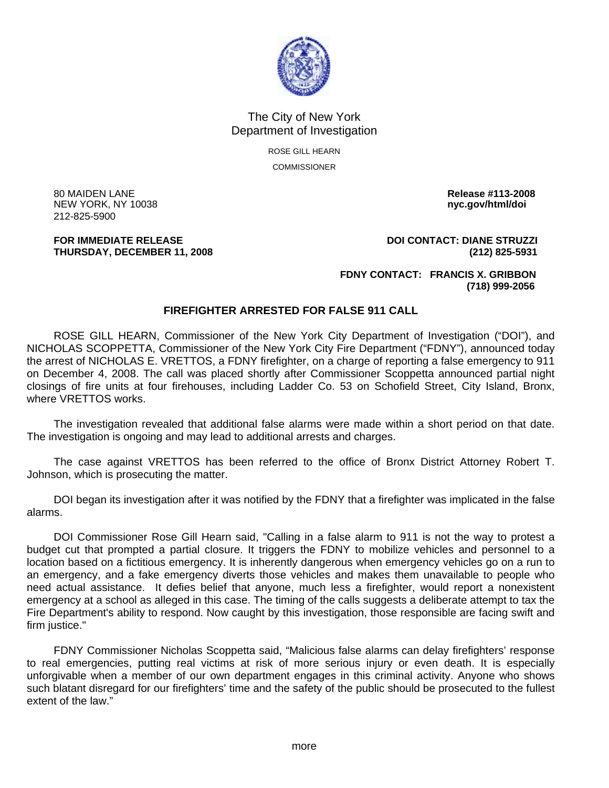

## The City of New York Department of Investigation

ROSE GILL HEARN COMMISSIONER

80 MAIDEN LANE **Release #113-2008 NEW YORK, NY 10038** 212-825-5900

**THURSDAY, DECEMBER 11, 2008 (212) 825-5931** 

**FOR IMMEDIATE RELEASE DOI CONTACT: DIANE STRUZZI** 

 **FDNY CONTACT: FRANCIS X. GRIBBON (718) 999-2056** 

## **FIREFIGHTER ARRESTED FOR FALSE 911 CALL**

 ROSE GILL HEARN, Commissioner of the New York City Department of Investigation ("DOI"), and NICHOLAS SCOPPETTA, Commissioner of the New York City Fire Department ("FDNY"), announced today the arrest of NICHOLAS E. VRETTOS, a FDNY firefighter, on a charge of reporting a false emergency to 911 on December 4, 2008. The call was placed shortly after Commissioner Scoppetta announced partial night closings of fire units at four firehouses, including Ladder Co. 53 on Schofield Street, City Island, Bronx, where VRETTOS works.

 The investigation revealed that additional false alarms were made within a short period on that date. The investigation is ongoing and may lead to additional arrests and charges.

 The case against VRETTOS has been referred to the office of Bronx District Attorney Robert T. Johnson, which is prosecuting the matter.

 DOI began its investigation after it was notified by the FDNY that a firefighter was implicated in the false alarms.

 DOI Commissioner Rose Gill Hearn said, "Calling in a false alarm to 911 is not the way to protest a budget cut that prompted a partial closure. It triggers the FDNY to mobilize vehicles and personnel to a location based on a fictitious emergency. It is inherently dangerous when emergency vehicles go on a run to an emergency, and a fake emergency diverts those vehicles and makes them unavailable to people who need actual assistance. It defies belief that anyone, much less a firefighter, would report a nonexistent emergency at a school as alleged in this case. The timing of the calls suggests a deliberate attempt to tax the Fire Department's ability to respond. Now caught by this investigation, those responsible are facing swift and firm justice."

 FDNY Commissioner Nicholas Scoppetta said, "Malicious false alarms can delay firefighters' response to real emergencies, putting real victims at risk of more serious injury or even death. It is especially unforgivable when a member of our own department engages in this criminal activity. Anyone who shows such blatant disregard for our firefighters' time and the safety of the public should be prosecuted to the fullest extent of the law."